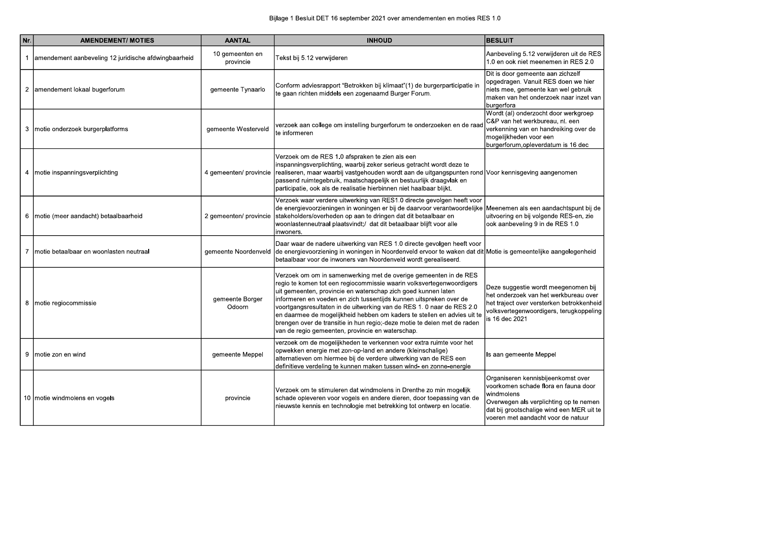| Nr. | <b>AMENDEMENT/ MOTIES</b>                            | <b>AANTAL</b>                | <b>INHOUD</b>                                                                                                                                                                                                                                                                                                                                                                                                                                                                                                                                                      | <b>BESLUIT</b>                                                                                                                                                                          |
|-----|------------------------------------------------------|------------------------------|--------------------------------------------------------------------------------------------------------------------------------------------------------------------------------------------------------------------------------------------------------------------------------------------------------------------------------------------------------------------------------------------------------------------------------------------------------------------------------------------------------------------------------------------------------------------|-----------------------------------------------------------------------------------------------------------------------------------------------------------------------------------------|
|     | amendement aanbeveling 12 juridische afdwingbaarheid | 10 gemeenten en<br>provincie | Tekst bij 5.12 verwijderen                                                                                                                                                                                                                                                                                                                                                                                                                                                                                                                                         | Aanbeveling 5.12 verwijderen ui<br>1.0 en ook niet meenemen in RE                                                                                                                       |
| 2   | amendement lokaal bugerforum                         | gemeente Tynaarlo            | Conform adviesrapport "Betrokken bij klimaat"(1) de burgerparticipatie in<br>te gaan richten middels een zogenaamd Burger Forum.                                                                                                                                                                                                                                                                                                                                                                                                                                   | Dit is door gemeente aan zichze<br>opgedragen. Vanuit RES doen v<br>niets mee, gemeente kan wel ge<br>maken van het onderzoek naar i<br>burgerfora                                      |
| 3   | motie onderzoek burgerplatforms                      | gemeente Westerveld          | verzoek aan college om instelling burgerforum te onderzoeken en de raad<br>te informeren                                                                                                                                                                                                                                                                                                                                                                                                                                                                           | Wordt (al) onderzocht door werk<br>C&P van het werkbureau, nl. ee<br>verkenning van en handreiking o<br>mogelijkheden voor een<br>burgerforum, opleverdatum is 16                       |
|     | 4 motie inspanningsverplichting                      | 4 gemeenten/ provincie       | Verzoek om de RES 1.0 afspraken te zien als een<br>inspanningsverplichting, waarbij zeker serieus getracht wordt deze te<br>realiseren, maar waarbij vastgehouden wordt aan de uitgangspunten rond Voor kennisgeving aangenomen<br>passend ruimtegebruik, maatschappelijk en bestuurlijk draagvlak en<br>participatie, ook als de realisatie hierbinnen niet haalbaar blijkt.                                                                                                                                                                                      |                                                                                                                                                                                         |
|     | 6   motie (meer aandacht) betaalbaarheid             | 2 gemeenten/ provincie       | Verzoek waar verdere uitwerking van RES1.0 directe gevolgen heeft voor<br>de energievoorzieningen in woningen er bij de daarvoor verantwoordelijke Meenemen als een aandachtspu<br>stakeholders/overheden op aan te dringen dat dit betaalbaar en<br>woonlastenneutraal plaatsvindt;/ dat dit betaalbaar blijft voor alle<br>inwoners.                                                                                                                                                                                                                             | uitvoering en bij volgende RES-6<br>ook aanbeveling 9 in de RES 1.0                                                                                                                     |
|     | Imotie betaalbaar en woonlasten neutraal             |                              | Daar waar de nadere uitwerking van RES 1.0 directe gevolgen heeft voor<br>gemeente Noordenveld de energievoorziening in woningen in Noordenveld ervoor te waken dat dit Motie is gemeentelijke aangeleg<br>betaalbaar voor de inwoners van Noordenveld wordt gerealiseerd.                                                                                                                                                                                                                                                                                         |                                                                                                                                                                                         |
|     | 8   motie regiocommissie                             | gemeente Borger<br>Odoorn    | Verzoek om om in samenwerking met de overige gemeenten in de RES<br>regio te komen tot een regiocommissie waarin volksvertegenwoordigers<br>uit gemeenten, provincie en waterschap zich goed kunnen laten<br>informeren en voeden en zich tussentijds kunnen uitspreken over de<br>voortgangsresultaten in de uitwerking van de RES 1.0 naar de RES 2.0<br>en daarmee de mogelijkheid hebben om kaders te stellen en advies uit te<br>brengen over de transitie in hun regio;-deze motie te delen met de raden<br>van de regio gemeenten, provincie en waterschap. | Deze suggestie wordt meegenor<br>het onderzoek van het werkbure<br>het traject over versterken betro<br>volksvertegenwoordigers, terugk<br>is 16 dec 2021                               |
|     | 9 motie zon en wind                                  | gemeente Meppel              | verzoek om de mogelijkheden te verkennen voor extra ruimte voor het<br>opwekken energie met zon-op-land en andere (kleinschalige)<br>alternatieven om hiermee bij de verdere uitwerking van de RES een<br>definitieve verdeling te kunnen maken tussen wind- en zonne-energie                                                                                                                                                                                                                                                                                      | Is aan gemeente Meppel                                                                                                                                                                  |
|     | 10 motie windmolens en vogels                        | provincie                    | Verzoek om te stimuleren dat windmolens in Drenthe zo min mogelijk<br>schade opleveren voor vogels en andere dieren, door toepassing van de<br>nieuwste kennis en technologie met betrekking tot ontwerp en locatie.                                                                                                                                                                                                                                                                                                                                               | Organiseren kennisbijeenkomst<br>voorkomen schade flora en faun<br>windmolens<br>Overwegen als verplichting op te<br>dat bij grootschalige wind een M<br>voeren met aandacht voor de na |

| uit de RES<br><b>RES 2.0</b>                       |  |
|----------------------------------------------------|--|
| zelf<br>ı we hier<br>gebruik<br>ır inzet van       |  |
| rkgroep<br>en<br>g over de                         |  |
| 16 dec                                             |  |
| эn                                                 |  |
| punt bij de<br>s-en, zie<br>1.0                    |  |
| egenheid                                           |  |
| ıomen bij<br>reau over<br>rokkenheid<br>gkoppeling |  |
|                                                    |  |
| st over<br>una door                                |  |
| te nemen<br>MER uit te<br>natuur                   |  |